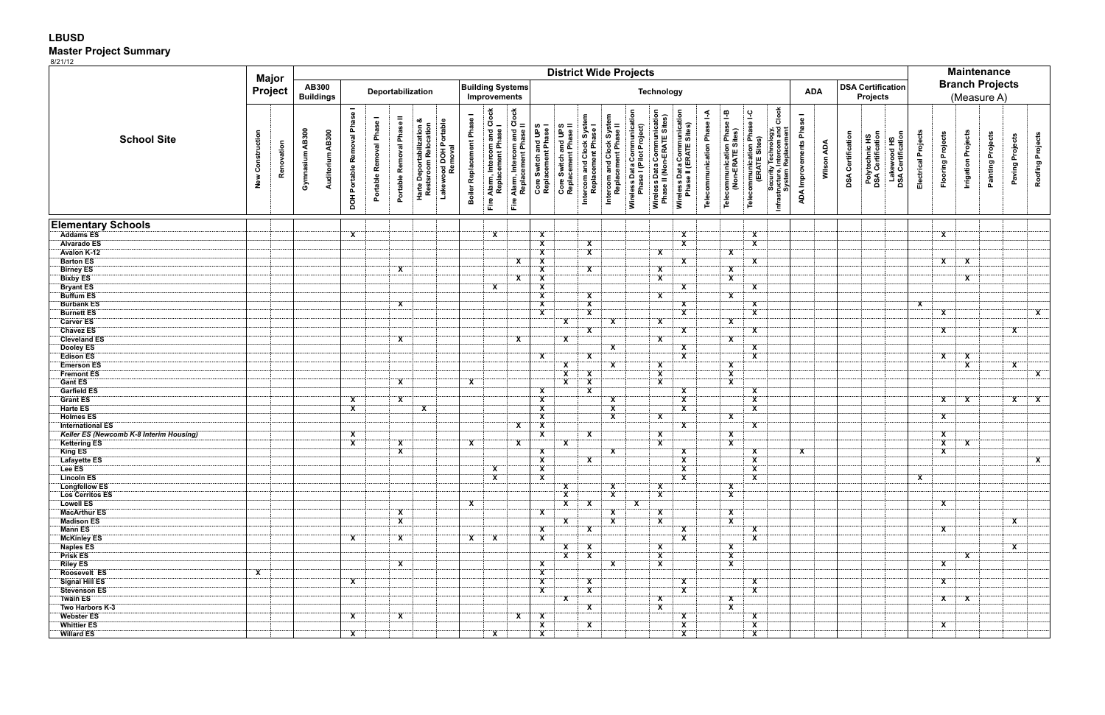## **LBUSD Master Project Summary**

8/21/12

|                                              |                     | Major<br><b>Project</b> |                    |                                  |                              |                          |                           |                                                   |                                  |                                         |                                                       |                                                        |                                                    |                                             |                                                 |                                                   | <b>District Wide Projects</b>                                                                                       |                                                       |                             |                                                  |                                                    |                                                                           |                          |                                                    |                          |                                     |                                  | <b>Maintenance</b>                    |                           |                            |                          |                         |                         |
|----------------------------------------------|---------------------|-------------------------|--------------------|----------------------------------|------------------------------|--------------------------|---------------------------|---------------------------------------------------|----------------------------------|-----------------------------------------|-------------------------------------------------------|--------------------------------------------------------|----------------------------------------------------|---------------------------------------------|-------------------------------------------------|---------------------------------------------------|---------------------------------------------------------------------------------------------------------------------|-------------------------------------------------------|-----------------------------|--------------------------------------------------|----------------------------------------------------|---------------------------------------------------------------------------|--------------------------|----------------------------------------------------|--------------------------|-------------------------------------|----------------------------------|---------------------------------------|---------------------------|----------------------------|--------------------------|-------------------------|-------------------------|
| <b>School Site</b>                           |                     |                         |                    | <b>AB300</b><br><b>Buildings</b> |                              | Deportabilization        |                           |                                                   |                                  | <b>Building Systems</b><br>Improvements |                                                       |                                                        |                                                    | <b>Technology</b>                           |                                                 |                                                   |                                                                                                                     |                                                       |                             |                                                  |                                                    |                                                                           |                          | <b>DSA Certification</b><br><b>ADA</b><br>Projects |                          |                                     |                                  | <b>Branch Projects</b><br>(Measure A) |                           |                            |                          |                         |                         |
|                                              | Construction<br>New | Renovation              | AB300<br>Gymnasium | Auditorium AB300                 | DOH Portable Removal Phase I | Portable Removal Phase I | Portable Removal Phase II | Harte Deportabilization &<br>Restsroom Relocation | Lakewood DOH Portable<br>Removal | Boiler Replacement Phase I              | Fire Alarm, Intercom and Clock<br>Replacement Phase I | Fire Alarm, Intercom and Clock<br>Replacement Phase II | Core Switch and UPS<br>Replacement Phase I         | Core Switch and UPS<br>Replacement Phase II | Intercom and Clock Syste<br>Replacement Phase I | Intercom and Clock System<br>Replacement Phase II | Wireless Data Communication<br>Phase I (Pilot Project)<br>Wireless Data Communication<br>Phase II (Non-ERATE Sites) | Wireless Data Communication<br>Phase II (ERATE Sites) | Telecommunication Phase I-A | Telecommunication Phase I-B<br>(Non-ERATE Sites) | Telecommunication Phase I-C<br>(ERATE Sites)       | Clock<br>Security Technolc<br>Infrastructure, Intercom<br>System Replacem | ADA Improvements Phase I | Wilson ADA                                         | <b>DSA Certification</b> | Polytechnic HS<br>DSA Certification | Lakewood HS<br>DSA Certification | Electrical Projects                   | <b>Flooring Projects</b>  | <b>Irrigation Projects</b> | <b>Painting Projects</b> | Paving Projects         | Roofing Projects        |
| <b>Elementary Schools</b>                    |                     |                         |                    |                                  |                              |                          |                           |                                                   |                                  |                                         |                                                       |                                                        |                                                    |                                             |                                                 |                                                   |                                                                                                                     |                                                       |                             |                                                  |                                                    |                                                                           |                          |                                                    |                          |                                     |                                  |                                       |                           |                            |                          |                         |                         |
| <b>Addams ES</b>                             |                     |                         |                    |                                  | $\mathsf{X}$                 |                          |                           |                                                   |                                  |                                         | X                                                     |                                                        | $\overline{\mathbf{x}}$                            |                                             |                                                 |                                                   |                                                                                                                     | $\boldsymbol{\mathsf{x}}$                             |                             |                                                  | $\boldsymbol{\mathsf{x}}$                          |                                                                           |                          |                                                    |                          |                                     |                                  |                                       | $\boldsymbol{\mathsf{x}}$ |                            |                          |                         |                         |
| <b>Alvarado ES</b>                           |                     |                         |                    |                                  |                              |                          |                           |                                                   |                                  |                                         |                                                       |                                                        | $\overline{\mathbf{X}}$                            |                                             | $\overline{\mathbf{x}}$                         |                                                   |                                                                                                                     | $\overline{\mathbf{x}}$                               |                             |                                                  | $\overline{\mathbf{x}}$                            |                                                                           |                          |                                                    |                          |                                     |                                  |                                       |                           |                            |                          |                         |                         |
| <b>Avalon K-12</b>                           |                     |                         |                    |                                  |                              |                          |                           |                                                   |                                  |                                         |                                                       |                                                        | $\overline{\mathbf{x}}$                            |                                             | $\overline{\mathbf{x}}$                         |                                                   | $\boldsymbol{\mathsf{x}}$                                                                                           |                                                       |                             | $\mathbf{x}$                                     |                                                    |                                                                           |                          |                                                    |                          |                                     |                                  |                                       |                           |                            |                          |                         |                         |
| <b>Barton ES</b><br><b>Birney ES</b>         |                     |                         |                    |                                  |                              |                          | $\mathbf{x}$              |                                                   |                                  |                                         |                                                       | $\mathbf{x}$                                           | $\overline{\mathbf{x}}$<br>$\overline{\mathbf{X}}$ |                                             | $\mathbf{x}$                                    |                                                   | $\overline{\mathbf{X}}$                                                                                             | $\mathbf{x}$                                          |                             | $\mathbf{x}$                                     | X                                                  |                                                                           |                          |                                                    |                          |                                     |                                  |                                       | $\mathbf{x}$              | $\mathbf{x}$               |                          |                         |                         |
| <b>Bixby ES</b>                              |                     |                         |                    |                                  |                              |                          |                           |                                                   |                                  |                                         |                                                       | $\mathbf{X}$                                           | $\boldsymbol{\mathsf{x}}$                          |                                             |                                                 |                                                   | $\mathsf{x}$                                                                                                        |                                                       |                             | $\overline{\mathbf{x}}$                          |                                                    |                                                                           |                          |                                                    |                          |                                     |                                  |                                       |                           | $\boldsymbol{\mathsf{x}}$  |                          |                         |                         |
| <b>Bryant ES</b>                             |                     |                         |                    |                                  |                              |                          |                           |                                                   |                                  |                                         | $\overline{\mathbf{x}}$                               |                                                        | $\overline{\mathbf{x}}$                            |                                             |                                                 |                                                   |                                                                                                                     | $\overline{\mathbf{x}}$                               |                             |                                                  | $\mathbf{x}$                                       |                                                                           |                          |                                                    |                          |                                     |                                  |                                       |                           |                            |                          |                         |                         |
| <b>Buffum ES</b>                             |                     |                         |                    |                                  |                              |                          |                           |                                                   |                                  |                                         |                                                       |                                                        | $\overline{\mathbf{x}}$                            |                                             | $\overline{\mathbf{x}}$                         |                                                   | $\overline{\mathbf{X}}$                                                                                             |                                                       |                             | $\boldsymbol{\mathsf{x}}$                        |                                                    |                                                                           |                          |                                                    |                          |                                     |                                  |                                       |                           |                            |                          |                         |                         |
| <b>Burbank ES</b>                            |                     |                         |                    |                                  |                              |                          | X                         |                                                   |                                  |                                         |                                                       |                                                        | $\overline{\mathbf{x}}$                            |                                             | $\overline{\mathbf{X}}$                         |                                                   |                                                                                                                     | $\mathbf{X}$                                          |                             |                                                  | X                                                  |                                                                           |                          |                                                    |                          |                                     |                                  | $\mathbf{x}$                          |                           |                            |                          |                         |                         |
| <b>Burnett ES</b>                            |                     |                         |                    |                                  |                              |                          |                           |                                                   |                                  |                                         |                                                       |                                                        | $\overline{\mathbf{x}}$                            |                                             | $\overline{\mathbf{X}}$                         |                                                   |                                                                                                                     | $\overline{\mathbf{X}}$                               |                             |                                                  | $\overline{\mathbf{X}}$                            |                                                                           |                          |                                                    |                          |                                     |                                  |                                       | $\mathbf{x}$              |                            |                          |                         | $\overline{\mathbf{x}}$ |
| <b>Carver ES</b><br><b>Chavez ES</b>         |                     |                         |                    |                                  |                              |                          |                           |                                                   |                                  |                                         |                                                       |                                                        |                                                    | $\mathsf{x}$                                | $\mathbf{X}$                                    | $\mathbf{x}$                                      | X                                                                                                                   | $\overline{\mathbf{x}}$                               |                             | $\mathsf{x}$                                     | $\mathbf{x}$                                       |                                                                           |                          |                                                    |                          |                                     |                                  |                                       | $\mathbf{x}$              |                            |                          | $\overline{\mathbf{X}}$ |                         |
| <b>Cleveland ES</b>                          |                     |                         |                    |                                  |                              |                          | $\mathbf{x}$              |                                                   |                                  |                                         |                                                       | $\overline{\mathbf{X}}$                                |                                                    | $\overline{\mathbf{x}}$                     |                                                 |                                                   | $\overline{\mathbf{X}}$                                                                                             |                                                       |                             | $\boldsymbol{\mathsf{x}}$                        |                                                    |                                                                           |                          |                                                    |                          |                                     |                                  |                                       |                           |                            |                          |                         |                         |
| Dooley ES                                    |                     |                         |                    |                                  |                              |                          |                           |                                                   |                                  |                                         |                                                       |                                                        |                                                    |                                             |                                                 | X                                                 |                                                                                                                     | $\mathbf{X}$                                          |                             |                                                  | X                                                  |                                                                           |                          |                                                    |                          |                                     |                                  |                                       |                           |                            |                          |                         |                         |
| <b>Edison ES</b>                             |                     |                         |                    |                                  |                              |                          |                           |                                                   |                                  |                                         |                                                       |                                                        | $\mathbf{x}$                                       |                                             | $\overline{\mathbf{X}}$                         |                                                   |                                                                                                                     | $\overline{\mathbf{X}}$                               |                             |                                                  | $\mathbf{X}$                                       |                                                                           |                          |                                                    |                          |                                     |                                  |                                       | $\mathbf{x}$              | $\mathbf{X}$               |                          |                         |                         |
| <b>Emerson ES</b>                            |                     |                         |                    |                                  |                              |                          |                           |                                                   |                                  |                                         |                                                       |                                                        |                                                    | $\mathsf{x}$                                |                                                 | <b>X</b>                                          | X                                                                                                                   |                                                       |                             | X                                                |                                                    |                                                                           |                          |                                                    |                          |                                     |                                  |                                       |                           | $\mathsf{x}$               |                          | X                       |                         |
| <b>Fremont ES</b>                            |                     |                         |                    |                                  |                              |                          |                           |                                                   |                                  |                                         |                                                       |                                                        |                                                    | $\mathbf{x}$                                | $\mathbf{X}$                                    |                                                   | $\mathbf{X}$                                                                                                        |                                                       |                             | $\overline{\mathbf{x}}$                          |                                                    |                                                                           |                          |                                                    |                          |                                     |                                  |                                       |                           |                            |                          |                         | $\overline{\mathbf{x}}$ |
| <b>Gant ES</b><br>Garfield ES                |                     |                         |                    |                                  |                              |                          | $\mathbf{x}$              |                                                   |                                  | $\overline{\mathbf{x}}$                 |                                                       |                                                        |                                                    | $\overline{\mathbf{X}}$                     | $\overline{\mathbf{x}}$                         |                                                   | $\overline{\mathbf{x}}$                                                                                             |                                                       |                             | $\overline{\mathbf{x}}$                          |                                                    |                                                                           |                          |                                                    |                          |                                     |                                  |                                       |                           |                            |                          |                         |                         |
| <b>Grant ES</b>                              |                     |                         |                    |                                  | $\mathbf{x}$                 |                          | $\mathbf{X}$              |                                                   |                                  |                                         |                                                       |                                                        | $\overline{\mathbf{x}}$<br>$\overline{\mathbf{X}}$ |                                             | $\overline{\mathbf{x}}$                         | $\overline{\mathbf{X}}$                           |                                                                                                                     | $\mathbf{X}$<br>$\overline{\mathbf{X}}$               |                             |                                                  | X<br>$\mathbf{X}$                                  |                                                                           |                          |                                                    |                          |                                     |                                  |                                       | $\overline{\mathbf{X}}$   | $\mathbf{x}$               |                          | $\mathbf{X}$            | $\overline{\mathbf{x}}$ |
| Harte ES                                     |                     |                         |                    |                                  | $\mathsf{x}$                 |                          |                           | X                                                 |                                  |                                         |                                                       |                                                        | $\overline{\mathbf{x}}$                            |                                             |                                                 | $\mathsf{x}$                                      |                                                                                                                     | $\overline{\mathbf{x}}$                               |                             |                                                  | $\boldsymbol{\mathsf{x}}$                          |                                                                           |                          |                                                    |                          |                                     |                                  |                                       |                           |                            |                          |                         |                         |
| <b>Holmes ES</b>                             |                     |                         |                    |                                  |                              |                          |                           |                                                   |                                  |                                         |                                                       |                                                        | $\overline{\mathbf{x}}$                            |                                             |                                                 | $\mathbf{x}$                                      | $\mathbf{X}$                                                                                                        |                                                       |                             | $\overline{\mathbf{x}}$                          |                                                    |                                                                           |                          |                                                    |                          |                                     |                                  |                                       | X                         |                            |                          |                         |                         |
| <b>International ES</b>                      |                     |                         |                    |                                  |                              |                          |                           |                                                   |                                  |                                         |                                                       | $\overline{\mathbf{x}}$                                | $\overline{\mathbf{x}}$                            |                                             |                                                 |                                                   |                                                                                                                     | $\overline{\mathbf{x}}$                               |                             |                                                  | $\mathbf{x}$                                       |                                                                           |                          |                                                    |                          |                                     |                                  |                                       |                           |                            |                          |                         |                         |
| Keller ES (Newcomb K-8 Interim Housing)      |                     |                         |                    |                                  | $\mathbf{x}$                 |                          |                           |                                                   |                                  |                                         |                                                       |                                                        | $\overline{\mathbf{x}}$                            |                                             | $\overline{\mathbf{x}}$                         |                                                   | $\mathbf{x}$                                                                                                        |                                                       |                             | X                                                |                                                    |                                                                           |                          |                                                    |                          |                                     |                                  |                                       | $\mathbf{x}$              |                            |                          |                         |                         |
| <b>Kettering ES</b>                          |                     |                         |                    |                                  | $\mathbf{x}$                 |                          | $\mathbf{X}$              |                                                   |                                  | $\mathbf{x}$                            |                                                       | $\overline{\mathbf{X}}$                                |                                                    | $\overline{\mathbf{x}}$                     |                                                 |                                                   | $\mathbf{x}$                                                                                                        |                                                       |                             | $\mathbf{x}$                                     |                                                    |                                                                           |                          |                                                    |                          |                                     |                                  |                                       | $\overline{\mathbf{X}}$   | $\mathbf{x}$               |                          |                         |                         |
| King ES<br>Lafayette ES                      |                     |                         |                    |                                  |                              |                          | X                         |                                                   |                                  |                                         |                                                       |                                                        | $\overline{\mathbf{x}}$                            |                                             |                                                 | <b>X</b>                                          |                                                                                                                     | $\boldsymbol{\mathsf{x}}$                             |                             |                                                  | X                                                  |                                                                           | $\overline{\mathbf{x}}$  |                                                    |                          |                                     |                                  |                                       | $\mathsf{x}$              |                            |                          |                         |                         |
| Lee ES                                       |                     |                         |                    |                                  |                              |                          |                           |                                                   |                                  |                                         | $\overline{\mathbf{x}}$                               |                                                        | $\frac{x}{x}$                                      |                                             | $\mathbf{X}$                                    |                                                   |                                                                                                                     | $\mathbf{x}$<br>$\overline{\mathbf{x}}$               |                             |                                                  | $\overline{\mathbf{x}}$<br>$\overline{\mathbf{X}}$ |                                                                           |                          |                                                    |                          |                                     |                                  |                                       |                           |                            |                          |                         | $\overline{\mathbf{x}}$ |
| <b>Lincoln ES</b>                            |                     |                         |                    |                                  |                              |                          |                           |                                                   |                                  |                                         | X                                                     |                                                        | <b>X</b>                                           |                                             |                                                 |                                                   |                                                                                                                     | <b>X</b>                                              |                             |                                                  | X                                                  |                                                                           |                          |                                                    |                          |                                     |                                  | $\overline{\mathbf{X}}$               |                           |                            |                          |                         |                         |
| <b>Longfellow ES</b>                         |                     |                         |                    |                                  |                              |                          |                           |                                                   |                                  |                                         |                                                       |                                                        |                                                    | $\mathbf{x}$                                |                                                 | X                                                 | $\mathbf{X}$                                                                                                        |                                                       |                             | $\mathbf{x}$                                     |                                                    |                                                                           |                          |                                                    |                          |                                     |                                  |                                       |                           |                            |                          |                         |                         |
| <b>Los Cerritos ES</b>                       |                     |                         |                    |                                  |                              |                          |                           |                                                   |                                  |                                         |                                                       |                                                        |                                                    | $\mathsf{x}$                                |                                                 | X                                                 | $\boldsymbol{\mathsf{x}}$                                                                                           |                                                       |                             | $\mathsf{x}$                                     |                                                    |                                                                           |                          |                                                    |                          |                                     |                                  |                                       |                           |                            |                          |                         |                         |
| <b>Lowell ES</b>                             |                     |                         |                    |                                  |                              |                          |                           |                                                   |                                  | $\overline{\mathbf{x}}$                 |                                                       |                                                        |                                                    | $\mathbf{x}$                                | X                                               |                                                   | $\mathbf{x}$                                                                                                        |                                                       |                             |                                                  |                                                    |                                                                           |                          |                                                    |                          |                                     |                                  |                                       | $\boldsymbol{\mathsf{x}}$ |                            |                          |                         |                         |
| <b>MacArthur ES</b><br><b>Madison ES</b>     |                     |                         |                    |                                  |                              |                          | X<br>$\mathbf{X}$         |                                                   |                                  |                                         |                                                       |                                                        | $\overline{\mathbf{x}}$                            | $\overline{\mathbf{x}}$                     |                                                 | $\mathbf{x}$<br>X                                 | X<br>$\mathbf{X}$                                                                                                   |                                                       |                             | $\mathbf{x}$<br>$\mathbf{x}$                     |                                                    |                                                                           |                          |                                                    |                          |                                     |                                  |                                       |                           |                            |                          | <b>X</b>                |                         |
| <b>Mann ES</b>                               |                     |                         |                    |                                  |                              |                          |                           |                                                   |                                  |                                         |                                                       |                                                        | $\mathbf{x}$                                       |                                             | $\mathsf{x}$                                    |                                                   |                                                                                                                     | $\mathsf{x}$                                          |                             |                                                  | $\boldsymbol{\mathsf{x}}$                          |                                                                           |                          |                                                    |                          |                                     |                                  |                                       | $\mathbf{x}$              |                            |                          |                         |                         |
| <b>McKinley ES</b>                           |                     |                         |                    |                                  | X                            |                          | X                         |                                                   |                                  | X                                       | X                                                     |                                                        | <b>X</b>                                           |                                             |                                                 |                                                   |                                                                                                                     | $\boldsymbol{\mathsf{x}}$                             |                             |                                                  | $\boldsymbol{\mathsf{x}}$                          |                                                                           |                          |                                                    |                          |                                     |                                  |                                       |                           |                            |                          |                         |                         |
| <b>Naples ES</b>                             |                     |                         |                    |                                  |                              |                          |                           |                                                   |                                  |                                         |                                                       |                                                        |                                                    | X                                           | $\mathbf{x}$                                    |                                                   | X                                                                                                                   |                                                       |                             | X                                                |                                                    |                                                                           |                          |                                                    |                          |                                     |                                  |                                       |                           |                            |                          | $\mathbf{x}$            |                         |
| <b>Prisk ES</b>                              |                     |                         |                    |                                  |                              |                          |                           |                                                   |                                  |                                         |                                                       |                                                        |                                                    | $\overline{\mathbf{x}}$                     | $\overline{\mathbf{x}}$                         |                                                   | $\overline{\mathbf{X}}$                                                                                             |                                                       |                             | $\overline{\mathbf{x}}$                          |                                                    |                                                                           |                          |                                                    |                          |                                     |                                  |                                       |                           | $\mathsf{x}$               |                          |                         |                         |
| <b>Riley ES</b>                              | $\mathbf{x}$        |                         |                    |                                  |                              |                          | X                         |                                                   |                                  |                                         |                                                       |                                                        | <u>X</u><br>$\overline{\mathbf{X}}$                |                                             |                                                 | X                                                 | $\overline{\mathbf{x}}$                                                                                             |                                                       |                             | $\mathbf{x}$                                     |                                                    |                                                                           |                          |                                                    |                          |                                     |                                  |                                       | X                         |                            |                          |                         |                         |
| <b>Roosevelt ES</b><br><b>Signal Hill ES</b> |                     |                         |                    |                                  | X                            |                          |                           |                                                   |                                  |                                         |                                                       |                                                        | $\overline{\mathbf{x}}$                            |                                             | $\mathbf{x}$                                    |                                                   |                                                                                                                     | $\boldsymbol{\mathsf{x}}$                             |                             |                                                  | X                                                  |                                                                           |                          |                                                    |                          |                                     |                                  |                                       | $\mathsf{x}$              |                            |                          |                         |                         |
| <b>Stevenson ES</b>                          |                     |                         |                    |                                  |                              |                          |                           |                                                   |                                  |                                         |                                                       |                                                        | $\mathbf{X}$                                       |                                             | $\mathbf{x}$                                    |                                                   |                                                                                                                     | $\overline{\mathbf{x}}$                               |                             |                                                  | $\mathbf{x}$                                       |                                                                           |                          |                                                    |                          |                                     |                                  |                                       |                           |                            |                          |                         |                         |
| <b>Twain ES</b>                              |                     |                         |                    |                                  |                              |                          |                           |                                                   |                                  |                                         |                                                       |                                                        |                                                    | $\boldsymbol{\mathsf{x}}$                   |                                                 |                                                   | X                                                                                                                   |                                                       |                             | $\boldsymbol{\mathsf{x}}$                        |                                                    |                                                                           |                          |                                                    |                          |                                     |                                  |                                       | $\mathbf{x}$              | $\mathbf{x}$               |                          |                         |                         |
| Two Harbors K-3                              |                     |                         |                    |                                  |                              |                          |                           |                                                   |                                  |                                         |                                                       |                                                        |                                                    |                                             | $\mathbf{X}$                                    |                                                   | $\overline{\mathbf{x}}$                                                                                             |                                                       |                             | $\mathbf{x}$                                     |                                                    |                                                                           |                          |                                                    |                          |                                     |                                  |                                       |                           |                            |                          |                         |                         |
| <b>Webster ES</b>                            |                     |                         |                    |                                  | $\mathbf{X}$                 |                          | $\mathbf{x}$              |                                                   |                                  |                                         |                                                       | $\mathbf{x}$                                           | $\mathbf{x}$                                       |                                             |                                                 |                                                   |                                                                                                                     | $\mathsf{x}$                                          |                             |                                                  | X                                                  |                                                                           |                          |                                                    |                          |                                     |                                  |                                       |                           |                            |                          |                         |                         |
| <b>Whittier ES</b>                           |                     |                         |                    |                                  |                              |                          |                           |                                                   |                                  |                                         |                                                       |                                                        | X                                                  |                                             | X                                               |                                                   |                                                                                                                     | $\boldsymbol{\mathsf{x}}$                             |                             |                                                  | X                                                  |                                                                           |                          |                                                    |                          |                                     |                                  |                                       | X                         |                            |                          |                         |                         |
| <b>Willard ES</b>                            |                     |                         |                    |                                  | $\overline{\mathbf{x}}$      |                          |                           |                                                   |                                  |                                         | X                                                     |                                                        | $\overline{\mathbf{x}}$                            |                                             |                                                 |                                                   |                                                                                                                     | $\overline{\mathbf{x}}$                               |                             |                                                  | <u>X</u>                                           |                                                                           |                          |                                                    |                          |                                     |                                  |                                       |                           |                            |                          |                         |                         |